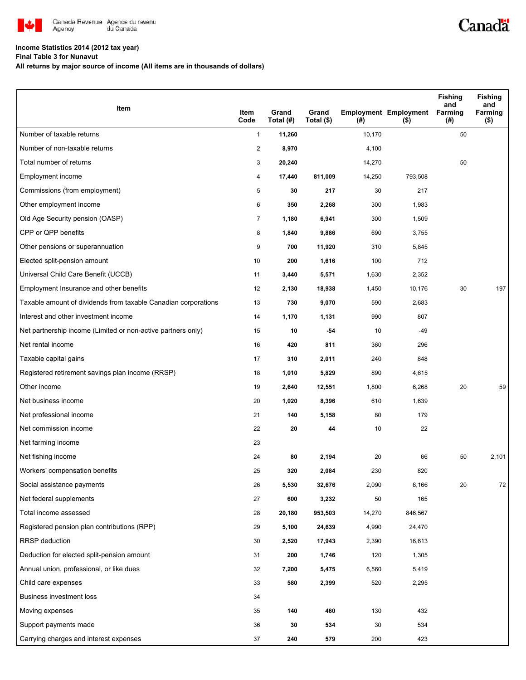

# **Income Statistics 2014 (2012 tax year)**

**Final Table 3 for Nunavut**

**All returns by major source of income (All items are in thousands of dollars)**

| Item                                                           | Item<br>Code   | Grand<br>Total (#) | Grand<br>Total (\$) | (#)    | <b>Employment Employment</b><br>$($ \$) | <b>Fishing</b><br>and<br>Farming<br>(#) | <b>Fishing</b><br>and<br>Farming<br>$($ \$) |
|----------------------------------------------------------------|----------------|--------------------|---------------------|--------|-----------------------------------------|-----------------------------------------|---------------------------------------------|
| Number of taxable returns                                      | $\mathbf{1}$   | 11,260             |                     | 10,170 |                                         | 50                                      |                                             |
| Number of non-taxable returns                                  | $\overline{c}$ | 8,970              |                     | 4,100  |                                         |                                         |                                             |
| Total number of returns                                        | 3              | 20,240             |                     | 14,270 |                                         | 50                                      |                                             |
| Employment income                                              | 4              | 17,440             | 811,009             | 14,250 | 793,508                                 |                                         |                                             |
| Commissions (from employment)                                  | 5              | 30                 | 217                 | 30     | 217                                     |                                         |                                             |
| Other employment income                                        | 6              | 350                | 2,268               | 300    | 1,983                                   |                                         |                                             |
| Old Age Security pension (OASP)                                | 7              | 1,180              | 6,941               | 300    | 1,509                                   |                                         |                                             |
| CPP or QPP benefits                                            | 8              | 1,840              | 9,886               | 690    | 3,755                                   |                                         |                                             |
| Other pensions or superannuation                               | 9              | 700                | 11,920              | 310    | 5,845                                   |                                         |                                             |
| Elected split-pension amount                                   | 10             | 200                | 1,616               | 100    | 712                                     |                                         |                                             |
| Universal Child Care Benefit (UCCB)                            | 11             | 3,440              | 5,571               | 1,630  | 2,352                                   |                                         |                                             |
| Employment Insurance and other benefits                        | 12             | 2,130              | 18,938              | 1,450  | 10,176                                  | 30                                      | 197                                         |
| Taxable amount of dividends from taxable Canadian corporations | 13             | 730                | 9,070               | 590    | 2,683                                   |                                         |                                             |
| Interest and other investment income                           | 14             | 1,170              | 1,131               | 990    | 807                                     |                                         |                                             |
| Net partnership income (Limited or non-active partners only)   | 15             | 10                 | -54                 | 10     | -49                                     |                                         |                                             |
| Net rental income                                              | 16             | 420                | 811                 | 360    | 296                                     |                                         |                                             |
| Taxable capital gains                                          | 17             | 310                | 2,011               | 240    | 848                                     |                                         |                                             |
| Registered retirement savings plan income (RRSP)               | 18             | 1,010              | 5,829               | 890    | 4,615                                   |                                         |                                             |
| Other income                                                   | 19             | 2,640              | 12,551              | 1,800  | 6,268                                   | 20                                      | 59                                          |
| Net business income                                            | 20             | 1,020              | 8,396               | 610    | 1,639                                   |                                         |                                             |
| Net professional income                                        | 21             | 140                | 5,158               | 80     | 179                                     |                                         |                                             |
| Net commission income                                          | 22             | 20                 | 44                  | 10     | 22                                      |                                         |                                             |
| Net farming income                                             | 23             |                    |                     |        |                                         |                                         |                                             |
| Net fishing income                                             | 24             | 80                 | 2,194               | 20     | 66                                      | 50                                      | 2,101                                       |
| Workers' compensation benefits                                 | 25             | 320                | 2,084               | 230    | 820                                     |                                         |                                             |
| Social assistance payments                                     | 26             | 5,530              | 32,676              | 2,090  | 8,166                                   | 20                                      | 72                                          |
| Net federal supplements                                        | 27             | 600                | 3,232               | 50     | 165                                     |                                         |                                             |
| Total income assessed                                          | 28             | 20,180             | 953,503             | 14,270 | 846,567                                 |                                         |                                             |
| Registered pension plan contributions (RPP)                    | 29             | 5,100              | 24,639              | 4,990  | 24,470                                  |                                         |                                             |
| RRSP deduction                                                 | 30             | 2,520              | 17,943              | 2,390  | 16,613                                  |                                         |                                             |
| Deduction for elected split-pension amount                     | 31             | 200                | 1,746               | 120    | 1,305                                   |                                         |                                             |
| Annual union, professional, or like dues                       | 32             | 7,200              | 5,475               | 6,560  | 5,419                                   |                                         |                                             |
| Child care expenses                                            | 33             | 580                | 2,399               | 520    | 2,295                                   |                                         |                                             |
| Business investment loss                                       | 34             |                    |                     |        |                                         |                                         |                                             |
| Moving expenses                                                | 35             | 140                | 460                 | 130    | 432                                     |                                         |                                             |
| Support payments made                                          | 36             | 30                 | 534                 | 30     | 534                                     |                                         |                                             |
| Carrying charges and interest expenses                         | 37             | 240                | 579                 | 200    | 423                                     |                                         |                                             |

Canadä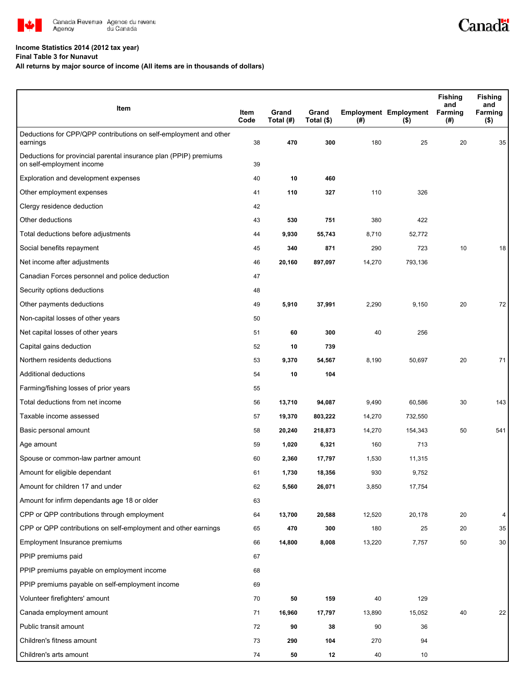

# **Income Statistics 2014 (2012 tax year)**

## **Final Table 3 for Nunavut**

# **All returns by major source of income (All items are in thousands of dollars)**

| Item                                                                                           | ltem<br>Code | Grand<br>Total (#) | Grand<br>Total (\$) | (#)    | <b>Employment Employment</b><br>$($ \$) | <b>Fishing</b><br>and<br>Farming<br>(#) | <b>Fishing</b><br>and<br>Farming<br>$($ \$) |
|------------------------------------------------------------------------------------------------|--------------|--------------------|---------------------|--------|-----------------------------------------|-----------------------------------------|---------------------------------------------|
| Deductions for CPP/QPP contributions on self-employment and other<br>earnings                  | 38           | 470                | 300                 | 180    | 25                                      | 20                                      | 35                                          |
| Deductions for provincial parental insurance plan (PPIP) premiums<br>on self-employment income | 39           |                    |                     |        |                                         |                                         |                                             |
| Exploration and development expenses                                                           | 40           | 10                 | 460                 |        |                                         |                                         |                                             |
| Other employment expenses                                                                      | 41           | 110                | 327                 | 110    | 326                                     |                                         |                                             |
| Clergy residence deduction                                                                     | 42           |                    |                     |        |                                         |                                         |                                             |
| Other deductions                                                                               | 43           | 530                | 751                 | 380    | 422                                     |                                         |                                             |
| Total deductions before adjustments                                                            | 44           | 9,930              | 55,743              | 8,710  | 52,772                                  |                                         |                                             |
| Social benefits repayment                                                                      | 45           | 340                | 871                 | 290    | 723                                     | 10                                      | 18                                          |
| Net income after adjustments                                                                   | 46           | 20,160             | 897,097             | 14,270 | 793,136                                 |                                         |                                             |
| Canadian Forces personnel and police deduction                                                 | 47           |                    |                     |        |                                         |                                         |                                             |
| Security options deductions                                                                    | 48           |                    |                     |        |                                         |                                         |                                             |
| Other payments deductions                                                                      | 49           | 5,910              | 37,991              | 2,290  | 9,150                                   | 20                                      | 72                                          |
| Non-capital losses of other years                                                              | 50           |                    |                     |        |                                         |                                         |                                             |
| Net capital losses of other years                                                              | 51           | 60                 | 300                 | 40     | 256                                     |                                         |                                             |
| Capital gains deduction                                                                        | 52           | 10                 | 739                 |        |                                         |                                         |                                             |
| Northern residents deductions                                                                  | 53           | 9,370              | 54,567              | 8,190  | 50,697                                  | 20                                      | 71                                          |
| Additional deductions                                                                          | 54           | 10                 | 104                 |        |                                         |                                         |                                             |
| Farming/fishing losses of prior years                                                          | 55           |                    |                     |        |                                         |                                         |                                             |
| Total deductions from net income                                                               | 56           | 13,710             | 94,087              | 9,490  | 60,586                                  | 30                                      | 143                                         |
| Taxable income assessed                                                                        | 57           | 19,370             | 803,222             | 14,270 | 732,550                                 |                                         |                                             |
| Basic personal amount                                                                          | 58           | 20,240             | 218,873             | 14,270 | 154,343                                 | 50                                      | 541                                         |
| Age amount                                                                                     | 59           | 1,020              | 6,321               | 160    | 713                                     |                                         |                                             |
| Spouse or common-law partner amount                                                            | 60           | 2,360              | 17,797              | 1,530  | 11,315                                  |                                         |                                             |
| Amount for eligible dependant                                                                  | 61           | 1,730              | 18,356              | 930    | 9,752                                   |                                         |                                             |
| Amount for children 17 and under                                                               | 62           | 5,560              | 26,071              | 3,850  | 17,754                                  |                                         |                                             |
| Amount for infirm dependants age 18 or older                                                   | 63           |                    |                     |        |                                         |                                         |                                             |
| CPP or QPP contributions through employment                                                    | 64           | 13,700             | 20,588              | 12,520 | 20,178                                  | 20                                      | 4                                           |
| CPP or QPP contributions on self-employment and other earnings                                 | 65           | 470                | 300                 | 180    | 25                                      | 20                                      | 35                                          |
| Employment Insurance premiums                                                                  | 66           | 14,800             | 8,008               | 13,220 | 7,757                                   | 50                                      | 30                                          |
| PPIP premiums paid                                                                             | 67           |                    |                     |        |                                         |                                         |                                             |
| PPIP premiums payable on employment income                                                     | 68           |                    |                     |        |                                         |                                         |                                             |
| PPIP premiums payable on self-employment income                                                | 69           |                    |                     |        |                                         |                                         |                                             |
| Volunteer firefighters' amount                                                                 | 70           | 50                 | 159                 | 40     | 129                                     |                                         |                                             |
| Canada employment amount                                                                       | 71           | 16,960             | 17,797              | 13,890 | 15,052                                  | 40                                      | 22                                          |
| Public transit amount                                                                          | 72           | 90                 | 38                  | 90     | 36                                      |                                         |                                             |
| Children's fitness amount                                                                      | 73           | 290                | 104                 | 270    | 94                                      |                                         |                                             |
| Children's arts amount                                                                         | 74           | 50                 | 12                  | 40     | 10                                      |                                         |                                             |

Canadä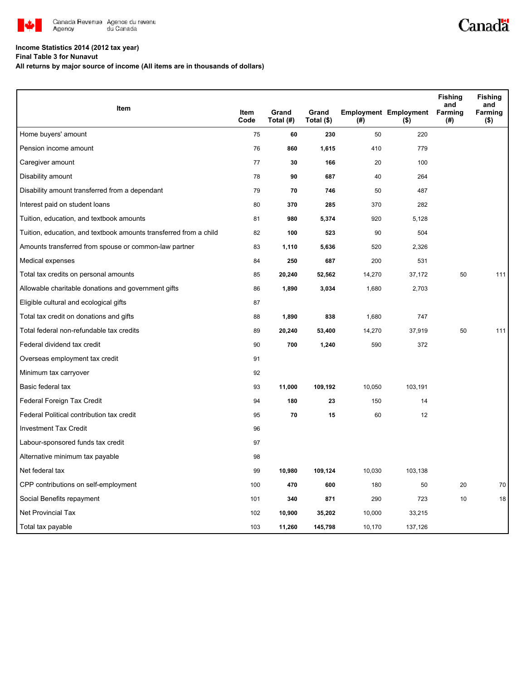

# **Income Statistics 2014 (2012 tax year)**

**Final Table 3 for Nunavut**

**All returns by major source of income (All items are in thousands of dollars)**

|                                                                   |              |                    |                     |        |                                         | <b>Fishing</b><br>and | <b>Fishing</b><br>and |
|-------------------------------------------------------------------|--------------|--------------------|---------------------|--------|-----------------------------------------|-----------------------|-----------------------|
| Item                                                              | Item<br>Code | Grand<br>Total (#) | Grand<br>Total (\$) | (#)    | <b>Employment Employment</b><br>$($ \$) | Farming<br>(#)        | Farming<br>$($ \$)    |
| Home buyers' amount                                               | 75           | 60                 | 230                 | 50     | 220                                     |                       |                       |
| Pension income amount                                             | 76           | 860                | 1,615               | 410    | 779                                     |                       |                       |
| Caregiver amount                                                  | 77           | 30                 | 166                 | 20     | 100                                     |                       |                       |
| Disability amount                                                 | 78           | 90                 | 687                 | 40     | 264                                     |                       |                       |
| Disability amount transferred from a dependant                    | 79           | 70                 | 746                 | 50     | 487                                     |                       |                       |
| Interest paid on student loans                                    | 80           | 370                | 285                 | 370    | 282                                     |                       |                       |
| Tuition, education, and textbook amounts                          | 81           | 980                | 5,374               | 920    | 5,128                                   |                       |                       |
| Tuition, education, and textbook amounts transferred from a child | 82           | 100                | 523                 | 90     | 504                                     |                       |                       |
| Amounts transferred from spouse or common-law partner             | 83           | 1,110              | 5,636               | 520    | 2,326                                   |                       |                       |
| Medical expenses                                                  | 84           | 250                | 687                 | 200    | 531                                     |                       |                       |
| Total tax credits on personal amounts                             | 85           | 20,240             | 52,562              | 14,270 | 37,172                                  | 50                    | 111                   |
| Allowable charitable donations and government gifts               | 86           | 1,890              | 3,034               | 1,680  | 2,703                                   |                       |                       |
| Eligible cultural and ecological gifts                            | 87           |                    |                     |        |                                         |                       |                       |
| Total tax credit on donations and gifts                           | 88           | 1,890              | 838                 | 1,680  | 747                                     |                       |                       |
| Total federal non-refundable tax credits                          | 89           | 20,240             | 53,400              | 14,270 | 37,919                                  | 50                    | 111                   |
| Federal dividend tax credit                                       | 90           | 700                | 1,240               | 590    | 372                                     |                       |                       |
| Overseas employment tax credit                                    | 91           |                    |                     |        |                                         |                       |                       |
| Minimum tax carryover                                             | 92           |                    |                     |        |                                         |                       |                       |
| Basic federal tax                                                 | 93           | 11,000             | 109,192             | 10,050 | 103,191                                 |                       |                       |
| Federal Foreign Tax Credit                                        | 94           | 180                | 23                  | 150    | 14                                      |                       |                       |
| Federal Political contribution tax credit                         | 95           | 70                 | 15                  | 60     | 12                                      |                       |                       |
| <b>Investment Tax Credit</b>                                      | 96           |                    |                     |        |                                         |                       |                       |
| Labour-sponsored funds tax credit                                 | 97           |                    |                     |        |                                         |                       |                       |
| Alternative minimum tax payable                                   | 98           |                    |                     |        |                                         |                       |                       |
| Net federal tax                                                   | 99           | 10,980             | 109,124             | 10,030 | 103,138                                 |                       |                       |
| CPP contributions on self-employment                              | 100          | 470                | 600                 | 180    | 50                                      | 20                    | 70                    |
| Social Benefits repayment                                         | 101          | 340                | 871                 | 290    | 723                                     | 10                    | 18                    |
| <b>Net Provincial Tax</b>                                         | 102          | 10,900             | 35,202              | 10,000 | 33,215                                  |                       |                       |
| Total tax payable                                                 | 103          | 11,260             | 145,798             | 10,170 | 137,126                                 |                       |                       |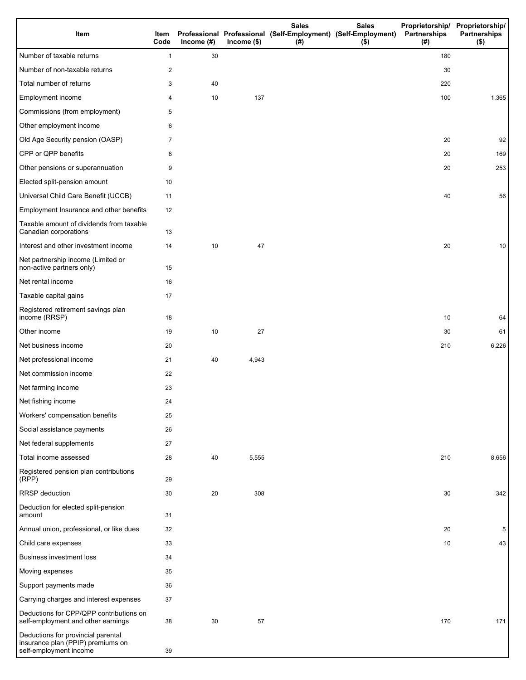| Item                                                                                              | Item<br>Code | Income (#) | Income (\$) | <b>Sales</b><br>(# ) | <b>Sales</b><br>Professional Professional (Self-Employment) (Self-Employment)<br>$($ \$) | <b>Partnerships</b><br>(# ) | Proprietorship/ Proprietorship/<br><b>Partnerships</b><br>$($ \$) |
|---------------------------------------------------------------------------------------------------|--------------|------------|-------------|----------------------|------------------------------------------------------------------------------------------|-----------------------------|-------------------------------------------------------------------|
| Number of taxable returns                                                                         | $\mathbf{1}$ | 30         |             |                      |                                                                                          | 180                         |                                                                   |
| Number of non-taxable returns                                                                     | 2            |            |             |                      |                                                                                          | 30                          |                                                                   |
| Total number of returns                                                                           | 3            | 40         |             |                      |                                                                                          | 220                         |                                                                   |
| Employment income                                                                                 | 4            | 10         | 137         |                      |                                                                                          | 100                         | 1,365                                                             |
| Commissions (from employment)                                                                     | 5            |            |             |                      |                                                                                          |                             |                                                                   |
| Other employment income                                                                           | 6            |            |             |                      |                                                                                          |                             |                                                                   |
| Old Age Security pension (OASP)                                                                   | 7            |            |             |                      |                                                                                          | 20                          | 92                                                                |
| CPP or QPP benefits                                                                               | 8            |            |             |                      |                                                                                          | 20                          | 169                                                               |
| Other pensions or superannuation                                                                  | 9            |            |             |                      |                                                                                          | 20                          | 253                                                               |
| Elected split-pension amount                                                                      | 10           |            |             |                      |                                                                                          |                             |                                                                   |
| Universal Child Care Benefit (UCCB)                                                               | 11           |            |             |                      |                                                                                          | 40                          | 56                                                                |
| Employment Insurance and other benefits                                                           | 12           |            |             |                      |                                                                                          |                             |                                                                   |
| Taxable amount of dividends from taxable<br>Canadian corporations                                 | 13           |            |             |                      |                                                                                          |                             |                                                                   |
| Interest and other investment income                                                              | 14           | 10         | 47          |                      |                                                                                          | 20                          | 10                                                                |
| Net partnership income (Limited or<br>non-active partners only)                                   | 15           |            |             |                      |                                                                                          |                             |                                                                   |
| Net rental income                                                                                 | 16           |            |             |                      |                                                                                          |                             |                                                                   |
| Taxable capital gains                                                                             | 17           |            |             |                      |                                                                                          |                             |                                                                   |
| Registered retirement savings plan<br>income (RRSP)                                               | 18           |            |             |                      |                                                                                          | 10                          | 64                                                                |
| Other income                                                                                      | 19           | 10         | 27          |                      |                                                                                          | 30                          | 61                                                                |
| Net business income                                                                               | 20           |            |             |                      |                                                                                          | 210                         | 6,226                                                             |
| Net professional income                                                                           | 21           | 40         | 4,943       |                      |                                                                                          |                             |                                                                   |
| Net commission income                                                                             | 22           |            |             |                      |                                                                                          |                             |                                                                   |
| Net farming income                                                                                | 23           |            |             |                      |                                                                                          |                             |                                                                   |
| Net fishing income                                                                                | 24           |            |             |                      |                                                                                          |                             |                                                                   |
| Workers' compensation benefits                                                                    | 25           |            |             |                      |                                                                                          |                             |                                                                   |
| Social assistance payments                                                                        | 26           |            |             |                      |                                                                                          |                             |                                                                   |
| Net federal supplements                                                                           | 27           |            |             |                      |                                                                                          |                             |                                                                   |
| Total income assessed                                                                             | 28           | 40         | 5,555       |                      |                                                                                          | 210                         | 8,656                                                             |
| Registered pension plan contributions<br>(RPP)                                                    | 29           |            |             |                      |                                                                                          |                             |                                                                   |
| <b>RRSP</b> deduction                                                                             | 30           | 20         | 308         |                      |                                                                                          | 30                          | 342                                                               |
| Deduction for elected split-pension<br>amount                                                     | 31           |            |             |                      |                                                                                          |                             |                                                                   |
| Annual union, professional, or like dues                                                          | 32           |            |             |                      |                                                                                          | 20                          | 5                                                                 |
| Child care expenses                                                                               | 33           |            |             |                      |                                                                                          | 10                          | 43                                                                |
| <b>Business investment loss</b>                                                                   | 34           |            |             |                      |                                                                                          |                             |                                                                   |
| Moving expenses                                                                                   | 35           |            |             |                      |                                                                                          |                             |                                                                   |
| Support payments made                                                                             | 36           |            |             |                      |                                                                                          |                             |                                                                   |
| Carrying charges and interest expenses                                                            | 37           |            |             |                      |                                                                                          |                             |                                                                   |
| Deductions for CPP/QPP contributions on<br>self-employment and other earnings                     | 38           | 30         | 57          |                      |                                                                                          | 170                         | 171                                                               |
| Deductions for provincial parental<br>insurance plan (PPIP) premiums on<br>self-employment income | 39           |            |             |                      |                                                                                          |                             |                                                                   |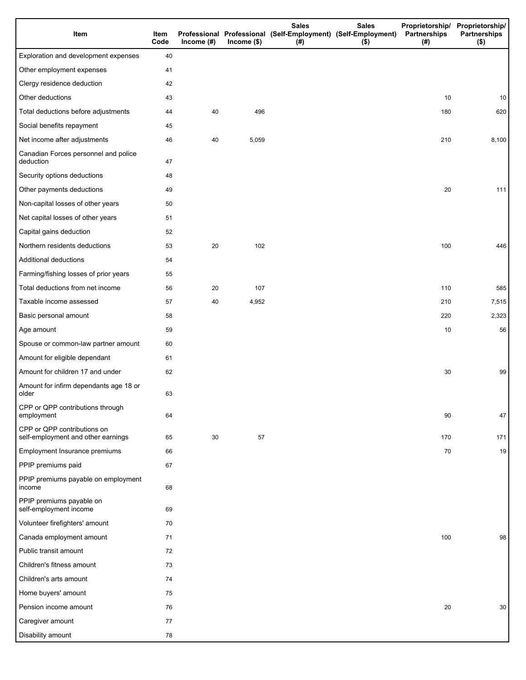| Item                                                              | Item<br>Code | Income (#) | Income $($)$ | <b>Sales</b><br>Professional Professional (Self-Employment) (Self-Employment)<br>(# ) | <b>Sales</b><br>$($ \$) | Proprietorship/<br>Partnerships<br>(#) | Proprietorship/<br><b>Partnerships</b><br>$($ \$) |
|-------------------------------------------------------------------|--------------|------------|--------------|---------------------------------------------------------------------------------------|-------------------------|----------------------------------------|---------------------------------------------------|
| Exploration and development expenses                              | 40           |            |              |                                                                                       |                         |                                        |                                                   |
| Other employment expenses                                         | 41           |            |              |                                                                                       |                         |                                        |                                                   |
| Clergy residence deduction                                        | 42           |            |              |                                                                                       |                         |                                        |                                                   |
| Other deductions                                                  | 43           |            |              |                                                                                       |                         | 10                                     | 10                                                |
| Total deductions before adjustments                               | 44           | 40         | 496          |                                                                                       |                         | 180                                    | 620                                               |
| Social benefits repayment                                         | 45           |            |              |                                                                                       |                         |                                        |                                                   |
| Net income after adjustments                                      | 46           | 40         | 5,059        |                                                                                       |                         | 210                                    | 8,100                                             |
| Canadian Forces personnel and police<br>deduction                 | 47           |            |              |                                                                                       |                         |                                        |                                                   |
| Security options deductions                                       | 48           |            |              |                                                                                       |                         |                                        |                                                   |
| Other payments deductions                                         | 49           |            |              |                                                                                       |                         | 20                                     | 111                                               |
| Non-capital losses of other years                                 | 50           |            |              |                                                                                       |                         |                                        |                                                   |
| Net capital losses of other years                                 | 51           |            |              |                                                                                       |                         |                                        |                                                   |
| Capital gains deduction                                           | 52           |            |              |                                                                                       |                         |                                        |                                                   |
| Northern residents deductions                                     | 53           | 20         | 102          |                                                                                       |                         | 100                                    | 446                                               |
| Additional deductions                                             | 54           |            |              |                                                                                       |                         |                                        |                                                   |
| Farming/fishing losses of prior years                             | 55           |            |              |                                                                                       |                         |                                        |                                                   |
| Total deductions from net income                                  | 56           | 20         | 107          |                                                                                       |                         | 110                                    | 585                                               |
| Taxable income assessed                                           | 57           | 40         | 4,952        |                                                                                       |                         | 210                                    | 7,515                                             |
| Basic personal amount                                             | 58           |            |              |                                                                                       |                         | 220                                    | 2,323                                             |
| Age amount                                                        | 59           |            |              |                                                                                       |                         | 10                                     | 56                                                |
| Spouse or common-law partner amount                               | 60           |            |              |                                                                                       |                         |                                        |                                                   |
| Amount for eligible dependant                                     | 61           |            |              |                                                                                       |                         |                                        |                                                   |
| Amount for children 17 and under                                  | 62           |            |              |                                                                                       |                         | 30                                     | 99                                                |
| Amount for infirm dependants age 18 or<br>older                   | 63           |            |              |                                                                                       |                         |                                        |                                                   |
| CPP or QPP contributions through<br>employment                    | 64           |            |              |                                                                                       |                         | 90                                     | 47                                                |
| CPP or QPP contributions on<br>self-employment and other earnings | 65           | 30         | 57           |                                                                                       |                         | 170                                    | 171                                               |
| Employment Insurance premiums                                     | 66           |            |              |                                                                                       |                         | 70                                     | 19                                                |
| PPIP premiums paid                                                | 67           |            |              |                                                                                       |                         |                                        |                                                   |
| PPIP premiums payable on employment<br>income                     | 68           |            |              |                                                                                       |                         |                                        |                                                   |
| PPIP premiums payable on<br>self-employment income                | 69           |            |              |                                                                                       |                         |                                        |                                                   |
| Volunteer firefighters' amount                                    | 70           |            |              |                                                                                       |                         |                                        |                                                   |
| Canada employment amount                                          | 71           |            |              |                                                                                       |                         | 100                                    | 98                                                |
| Public transit amount                                             | 72           |            |              |                                                                                       |                         |                                        |                                                   |
| Children's fitness amount                                         | 73           |            |              |                                                                                       |                         |                                        |                                                   |
| Children's arts amount                                            | 74           |            |              |                                                                                       |                         |                                        |                                                   |
| Home buyers' amount                                               | 75           |            |              |                                                                                       |                         |                                        |                                                   |
| Pension income amount                                             | 76           |            |              |                                                                                       |                         | 20                                     | 30                                                |
| Caregiver amount                                                  | 77           |            |              |                                                                                       |                         |                                        |                                                   |
| Disability amount                                                 | 78           |            |              |                                                                                       |                         |                                        |                                                   |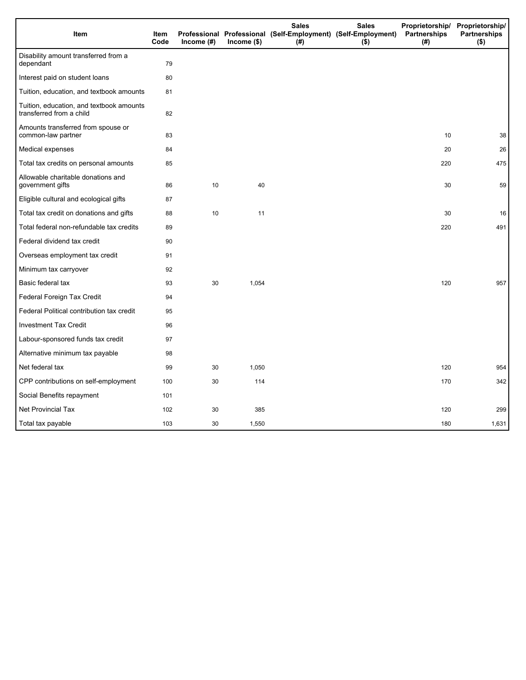| Item                                                                 | Item<br>Code | Income (#) | Income (\$) | <b>Sales</b><br>(#) | <b>Sales</b><br>Professional Professional (Self-Employment) (Self-Employment)<br>$($ \$) | Partnerships<br>(#) | Proprietorship/ Proprietorship/<br><b>Partnerships</b><br>$($ \$) |
|----------------------------------------------------------------------|--------------|------------|-------------|---------------------|------------------------------------------------------------------------------------------|---------------------|-------------------------------------------------------------------|
| Disability amount transferred from a<br>dependant                    | 79           |            |             |                     |                                                                                          |                     |                                                                   |
| Interest paid on student loans                                       | 80           |            |             |                     |                                                                                          |                     |                                                                   |
| Tuition, education, and textbook amounts                             | 81           |            |             |                     |                                                                                          |                     |                                                                   |
| Tuition, education, and textbook amounts<br>transferred from a child | 82           |            |             |                     |                                                                                          |                     |                                                                   |
| Amounts transferred from spouse or<br>common-law partner             | 83           |            |             |                     |                                                                                          | 10                  | 38                                                                |
| Medical expenses                                                     | 84           |            |             |                     |                                                                                          | 20                  | 26                                                                |
| Total tax credits on personal amounts                                | 85           |            |             |                     |                                                                                          | 220                 | 475                                                               |
| Allowable charitable donations and<br>government gifts               | 86           | 10         | 40          |                     |                                                                                          | 30                  | 59                                                                |
| Eligible cultural and ecological gifts                               | 87           |            |             |                     |                                                                                          |                     |                                                                   |
| Total tax credit on donations and gifts                              | 88           | 10         | 11          |                     |                                                                                          | 30                  | 16                                                                |
| Total federal non-refundable tax credits                             | 89           |            |             |                     |                                                                                          | 220                 | 491                                                               |
| Federal dividend tax credit                                          | 90           |            |             |                     |                                                                                          |                     |                                                                   |
| Overseas employment tax credit                                       | 91           |            |             |                     |                                                                                          |                     |                                                                   |
| Minimum tax carryover                                                | 92           |            |             |                     |                                                                                          |                     |                                                                   |
| Basic federal tax                                                    | 93           | 30         | 1,054       |                     |                                                                                          | 120                 | 957                                                               |
| Federal Foreign Tax Credit                                           | 94           |            |             |                     |                                                                                          |                     |                                                                   |
| Federal Political contribution tax credit                            | 95           |            |             |                     |                                                                                          |                     |                                                                   |
| <b>Investment Tax Credit</b>                                         | 96           |            |             |                     |                                                                                          |                     |                                                                   |
| Labour-sponsored funds tax credit                                    | 97           |            |             |                     |                                                                                          |                     |                                                                   |
| Alternative minimum tax payable                                      | 98           |            |             |                     |                                                                                          |                     |                                                                   |
| Net federal tax                                                      | 99           | 30         | 1,050       |                     |                                                                                          | 120                 | 954                                                               |
| CPP contributions on self-employment                                 | 100          | 30         | 114         |                     |                                                                                          | 170                 | 342                                                               |
| Social Benefits repayment                                            | 101          |            |             |                     |                                                                                          |                     |                                                                   |
| <b>Net Provincial Tax</b>                                            | 102          | 30         | 385         |                     |                                                                                          | 120                 | 299                                                               |
| Total tax payable                                                    | 103          | 30         | 1,550       |                     |                                                                                          | 180                 | 1,631                                                             |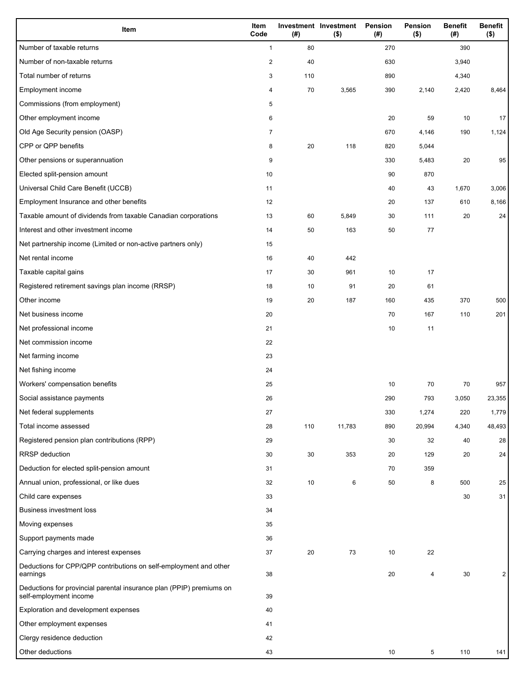| Item                                                                                           | Item<br>Code   | (#) | Investment Investment<br>$($ \$) | Pension<br>(#) | Pension<br>$($ \$) | <b>Benefit</b><br>(#) | <b>Benefit</b><br>$($ \$) |
|------------------------------------------------------------------------------------------------|----------------|-----|----------------------------------|----------------|--------------------|-----------------------|---------------------------|
| Number of taxable returns                                                                      | $\mathbf{1}$   | 80  |                                  | 270            |                    | 390                   |                           |
| Number of non-taxable returns                                                                  | $\overline{c}$ | 40  |                                  | 630            |                    | 3,940                 |                           |
| Total number of returns                                                                        | 3              | 110 |                                  | 890            |                    | 4,340                 |                           |
| Employment income                                                                              | 4              | 70  | 3,565                            | 390            | 2,140              | 2,420                 | 8,464                     |
| Commissions (from employment)                                                                  | 5              |     |                                  |                |                    |                       |                           |
| Other employment income                                                                        | 6              |     |                                  | 20             | 59                 | 10                    | 17                        |
| Old Age Security pension (OASP)                                                                | $\overline{7}$ |     |                                  | 670            | 4,146              | 190                   | 1,124                     |
| CPP or QPP benefits                                                                            | 8              | 20  | 118                              | 820            | 5,044              |                       |                           |
| Other pensions or superannuation                                                               | 9              |     |                                  | 330            | 5,483              | 20                    | 95                        |
| Elected split-pension amount                                                                   | 10             |     |                                  | 90             | 870                |                       |                           |
| Universal Child Care Benefit (UCCB)                                                            | 11             |     |                                  | 40             | 43                 | 1,670                 | 3,006                     |
| Employment Insurance and other benefits                                                        | 12             |     |                                  | 20             | 137                | 610                   | 8,166                     |
| Taxable amount of dividends from taxable Canadian corporations                                 | 13             | 60  | 5,849                            | 30             | 111                | 20                    | 24                        |
| Interest and other investment income                                                           | 14             | 50  | 163                              | 50             | 77                 |                       |                           |
| Net partnership income (Limited or non-active partners only)                                   | 15             |     |                                  |                |                    |                       |                           |
| Net rental income                                                                              | 16             | 40  | 442                              |                |                    |                       |                           |
| Taxable capital gains                                                                          | 17             | 30  | 961                              | 10             | 17                 |                       |                           |
| Registered retirement savings plan income (RRSP)                                               | 18             | 10  | 91                               | 20             | 61                 |                       |                           |
| Other income                                                                                   | 19             | 20  | 187                              | 160            | 435                | 370                   | 500                       |
| Net business income                                                                            | 20             |     |                                  | 70             | 167                | 110                   | 201                       |
| Net professional income                                                                        | 21             |     |                                  | 10             | 11                 |                       |                           |
| Net commission income                                                                          | 22             |     |                                  |                |                    |                       |                           |
| Net farming income                                                                             | 23             |     |                                  |                |                    |                       |                           |
| Net fishing income                                                                             | 24             |     |                                  |                |                    |                       |                           |
| Workers' compensation benefits                                                                 | 25             |     |                                  | 10             | 70                 | 70                    | 957                       |
| Social assistance payments                                                                     | 26             |     |                                  | 290            | 793                | 3,050                 | 23,355                    |
| Net federal supplements                                                                        | 27             |     |                                  | 330            | 1,274              | 220                   | 1,779                     |
| Total income assessed                                                                          | 28             | 110 | 11,783                           | 890            | 20,994             | 4,340                 | 48,493                    |
| Registered pension plan contributions (RPP)                                                    | 29             |     |                                  | 30             | 32                 | 40                    | 28                        |
| <b>RRSP</b> deduction                                                                          | 30             | 30  | 353                              | 20             | 129                | 20                    | 24                        |
| Deduction for elected split-pension amount                                                     | 31             |     |                                  | 70             | 359                |                       |                           |
| Annual union, professional, or like dues                                                       | 32             | 10  | 6                                | 50             | 8                  | 500                   | 25                        |
| Child care expenses                                                                            | 33             |     |                                  |                |                    | 30                    | 31                        |
| <b>Business investment loss</b>                                                                | 34             |     |                                  |                |                    |                       |                           |
| Moving expenses                                                                                | 35             |     |                                  |                |                    |                       |                           |
| Support payments made                                                                          | 36             |     |                                  |                |                    |                       |                           |
| Carrying charges and interest expenses                                                         | 37             | 20  | 73                               | 10             | 22                 |                       |                           |
| Deductions for CPP/QPP contributions on self-employment and other                              |                |     |                                  |                |                    |                       |                           |
| earnings                                                                                       | 38             |     |                                  | 20             | 4                  | 30                    | 2                         |
| Deductions for provincial parental insurance plan (PPIP) premiums on<br>self-employment income | 39             |     |                                  |                |                    |                       |                           |
| Exploration and development expenses                                                           | 40             |     |                                  |                |                    |                       |                           |
| Other employment expenses                                                                      | 41             |     |                                  |                |                    |                       |                           |
| Clergy residence deduction                                                                     | 42             |     |                                  |                |                    |                       |                           |
| Other deductions                                                                               | 43             |     |                                  | 10             | 5                  | 110                   | 141                       |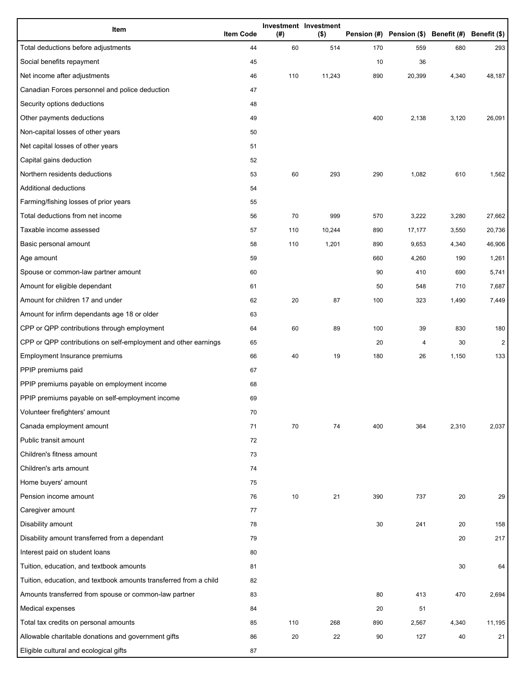| Item                                                              | <b>Item Code</b> | (#) | Investment Investment<br>$($ \$) |     | Pension (#) Pension (\$) Benefit (#) Benefit (\$) |       |              |
|-------------------------------------------------------------------|------------------|-----|----------------------------------|-----|---------------------------------------------------|-------|--------------|
| Total deductions before adjustments                               | 44               | 60  | 514                              | 170 | 559                                               | 680   | 293          |
| Social benefits repayment                                         | 45               |     |                                  | 10  | 36                                                |       |              |
| Net income after adjustments                                      | 46               | 110 | 11,243                           | 890 | 20,399                                            | 4,340 | 48,187       |
| Canadian Forces personnel and police deduction                    | 47               |     |                                  |     |                                                   |       |              |
| Security options deductions                                       | 48               |     |                                  |     |                                                   |       |              |
| Other payments deductions                                         | 49               |     |                                  | 400 | 2,138                                             | 3,120 | 26,091       |
| Non-capital losses of other years                                 | 50               |     |                                  |     |                                                   |       |              |
| Net capital losses of other years                                 | 51               |     |                                  |     |                                                   |       |              |
| Capital gains deduction                                           | 52               |     |                                  |     |                                                   |       |              |
| Northern residents deductions                                     | 53               | 60  | 293                              | 290 | 1,082                                             | 610   | 1,562        |
| Additional deductions                                             | 54               |     |                                  |     |                                                   |       |              |
| Farming/fishing losses of prior years                             | 55               |     |                                  |     |                                                   |       |              |
| Total deductions from net income                                  | 56               | 70  | 999                              | 570 | 3,222                                             | 3,280 | 27,662       |
| Taxable income assessed                                           | 57               | 110 | 10,244                           | 890 | 17,177                                            | 3,550 | 20,736       |
| Basic personal amount                                             | 58               | 110 | 1,201                            | 890 | 9,653                                             | 4,340 | 46,906       |
| Age amount                                                        | 59               |     |                                  | 660 | 4,260                                             | 190   | 1,261        |
| Spouse or common-law partner amount                               | 60               |     |                                  | 90  | 410                                               | 690   | 5,741        |
| Amount for eligible dependant                                     | 61               |     |                                  | 50  | 548                                               | 710   | 7,687        |
| Amount for children 17 and under                                  | 62               | 20  | 87                               | 100 | 323                                               | 1,490 | 7,449        |
| Amount for infirm dependants age 18 or older                      | 63               |     |                                  |     |                                                   |       |              |
| CPP or QPP contributions through employment                       | 64               | 60  | 89                               | 100 | 39                                                | 830   | 180          |
| CPP or QPP contributions on self-employment and other earnings    | 65               |     |                                  | 20  | 4                                                 | 30    | $\mathbf{2}$ |
| Employment Insurance premiums                                     | 66               | 40  | 19                               | 180 | 26                                                | 1,150 | 133          |
| PPIP premiums paid                                                | 67               |     |                                  |     |                                                   |       |              |
| PPIP premiums payable on employment income                        | 68               |     |                                  |     |                                                   |       |              |
| PPIP premiums payable on self-employment income                   | 69               |     |                                  |     |                                                   |       |              |
| Volunteer firefighters' amount                                    | 70               |     |                                  |     |                                                   |       |              |
| Canada employment amount                                          | 71               | 70  | 74                               | 400 | 364                                               | 2,310 | 2,037        |
| Public transit amount                                             | 72               |     |                                  |     |                                                   |       |              |
| Children's fitness amount                                         | 73               |     |                                  |     |                                                   |       |              |
| Children's arts amount                                            | 74               |     |                                  |     |                                                   |       |              |
| Home buyers' amount                                               | 75               |     |                                  |     |                                                   |       |              |
| Pension income amount                                             | 76               | 10  | 21                               | 390 | 737                                               | 20    | 29           |
| Caregiver amount                                                  | 77               |     |                                  |     |                                                   |       |              |
| Disability amount                                                 | 78               |     |                                  | 30  | 241                                               | 20    | 158          |
| Disability amount transferred from a dependant                    | 79               |     |                                  |     |                                                   | 20    | 217          |
| Interest paid on student loans                                    | 80               |     |                                  |     |                                                   |       |              |
| Tuition, education, and textbook amounts                          | 81               |     |                                  |     |                                                   | 30    | 64           |
| Tuition, education, and textbook amounts transferred from a child | 82               |     |                                  |     |                                                   |       |              |
| Amounts transferred from spouse or common-law partner             | 83               |     |                                  | 80  | 413                                               | 470   | 2,694        |
| Medical expenses                                                  | 84               |     |                                  | 20  | 51                                                |       |              |
| Total tax credits on personal amounts                             | 85               | 110 | 268                              | 890 | 2,567                                             | 4,340 | 11,195       |
| Allowable charitable donations and government gifts               | 86               | 20  | 22                               | 90  | 127                                               | 40    | 21           |
| Eligible cultural and ecological gifts                            | 87               |     |                                  |     |                                                   |       |              |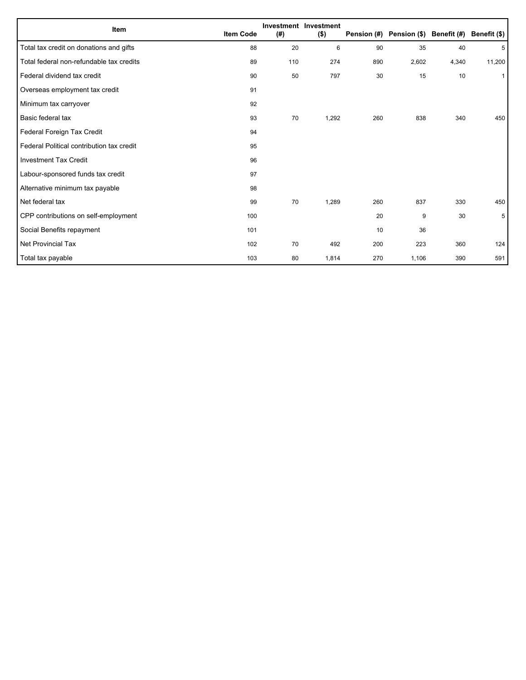| Item                                      | <b>Item Code</b> | (#) | Investment Investment<br>$($ \$) |     | Pension (#) Pension (\$) Benefit (#) |       | Benefit (\$) |
|-------------------------------------------|------------------|-----|----------------------------------|-----|--------------------------------------|-------|--------------|
| Total tax credit on donations and gifts   | 88               | 20  | 6                                | 90  | 35                                   | 40    | 5            |
| Total federal non-refundable tax credits  | 89               | 110 | 274                              | 890 | 2,602                                | 4,340 | 11,200       |
| Federal dividend tax credit               | 90               | 50  | 797                              | 30  | 15                                   | 10    | $\mathbf{1}$ |
| Overseas employment tax credit            | 91               |     |                                  |     |                                      |       |              |
| Minimum tax carryover                     | 92               |     |                                  |     |                                      |       |              |
| Basic federal tax                         | 93               | 70  | 1,292                            | 260 | 838                                  | 340   | 450          |
| Federal Foreign Tax Credit                | 94               |     |                                  |     |                                      |       |              |
| Federal Political contribution tax credit | 95               |     |                                  |     |                                      |       |              |
| Investment Tax Credit                     | 96               |     |                                  |     |                                      |       |              |
| Labour-sponsored funds tax credit         | 97               |     |                                  |     |                                      |       |              |
| Alternative minimum tax payable           | 98               |     |                                  |     |                                      |       |              |
| Net federal tax                           | 99               | 70  | 1,289                            | 260 | 837                                  | 330   | 450          |
| CPP contributions on self-employment      | 100              |     |                                  | 20  | 9                                    | 30    | 5            |
| Social Benefits repayment                 | 101              |     |                                  | 10  | 36                                   |       |              |
| Net Provincial Tax                        | 102              | 70  | 492                              | 200 | 223                                  | 360   | 124          |
| Total tax payable                         | 103              | 80  | 1,814                            | 270 | 1,106                                | 390   | 591          |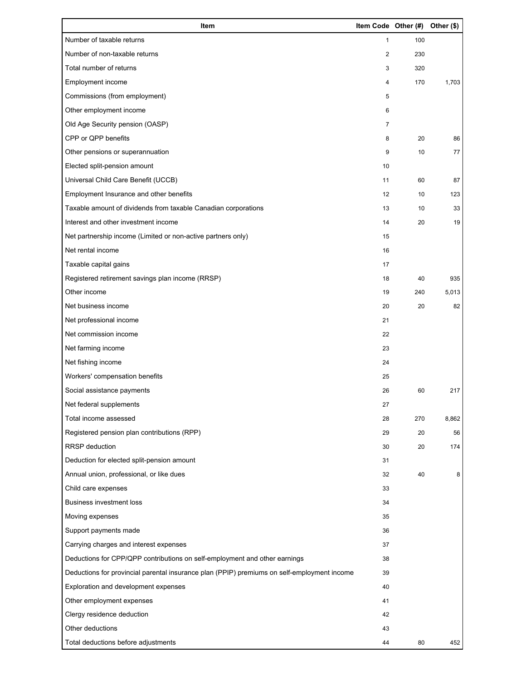| Item                                                                                        | Item Code Other (#) |     | Other (\$) |
|---------------------------------------------------------------------------------------------|---------------------|-----|------------|
| Number of taxable returns                                                                   | $\mathbf{1}$        | 100 |            |
| Number of non-taxable returns                                                               | $\overline{2}$      | 230 |            |
| Total number of returns                                                                     | 3                   | 320 |            |
| Employment income                                                                           | 4                   | 170 | 1,703      |
| Commissions (from employment)                                                               | 5                   |     |            |
| Other employment income                                                                     | 6                   |     |            |
| Old Age Security pension (OASP)                                                             | $\overline{7}$      |     |            |
| CPP or QPP benefits                                                                         | 8                   | 20  | 86         |
| Other pensions or superannuation                                                            | 9                   | 10  | 77         |
| Elected split-pension amount                                                                | 10                  |     |            |
| Universal Child Care Benefit (UCCB)                                                         | 11                  | 60  | 87         |
| Employment Insurance and other benefits                                                     | 12                  | 10  | 123        |
| Taxable amount of dividends from taxable Canadian corporations                              | 13                  | 10  | 33         |
| Interest and other investment income                                                        | 14                  | 20  | 19         |
| Net partnership income (Limited or non-active partners only)                                | 15                  |     |            |
| Net rental income                                                                           | 16                  |     |            |
| Taxable capital gains                                                                       | 17                  |     |            |
| Registered retirement savings plan income (RRSP)                                            | 18                  | 40  | 935        |
| Other income                                                                                | 19                  | 240 | 5,013      |
| Net business income                                                                         | 20                  | 20  | 82         |
| Net professional income                                                                     | 21                  |     |            |
| Net commission income                                                                       | 22                  |     |            |
| Net farming income                                                                          | 23                  |     |            |
| Net fishing income                                                                          | 24                  |     |            |
| Workers' compensation benefits                                                              | 25                  |     |            |
| Social assistance payments                                                                  | 26                  | 60  | 217        |
| Net federal supplements                                                                     | 27                  |     |            |
| Total income assessed                                                                       | 28                  | 270 | 8,862      |
| Registered pension plan contributions (RPP)                                                 | 29                  | 20  | 56         |
| RRSP deduction                                                                              | 30                  | 20  | 174        |
| Deduction for elected split-pension amount                                                  | 31                  |     |            |
| Annual union, professional, or like dues                                                    | 32                  | 40  | 8          |
| Child care expenses                                                                         | 33                  |     |            |
| <b>Business investment loss</b>                                                             | 34                  |     |            |
| Moving expenses                                                                             | 35                  |     |            |
| Support payments made                                                                       | 36                  |     |            |
| Carrying charges and interest expenses                                                      | 37                  |     |            |
| Deductions for CPP/QPP contributions on self-employment and other earnings                  | 38                  |     |            |
| Deductions for provincial parental insurance plan (PPIP) premiums on self-employment income | 39                  |     |            |
| Exploration and development expenses                                                        | 40                  |     |            |
| Other employment expenses                                                                   | 41                  |     |            |
| Clergy residence deduction                                                                  | 42                  |     |            |
| Other deductions                                                                            | 43                  |     |            |
| Total deductions before adjustments                                                         | 44                  | 80  | 452        |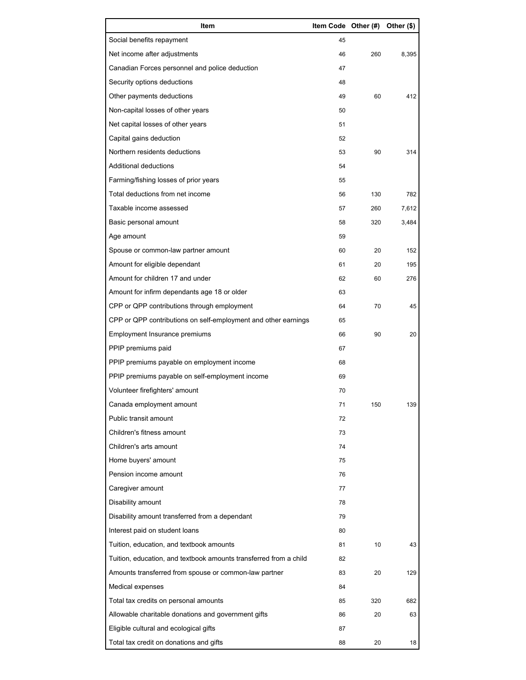| Item                                                              | Item Code Other (#) |     | Other (\$) |
|-------------------------------------------------------------------|---------------------|-----|------------|
| Social benefits repayment                                         | 45                  |     |            |
| Net income after adjustments                                      | 46                  | 260 | 8,395      |
| Canadian Forces personnel and police deduction                    | 47                  |     |            |
| Security options deductions                                       | 48                  |     |            |
| Other payments deductions                                         | 49                  | 60  | 412        |
| Non-capital losses of other years                                 | 50                  |     |            |
| Net capital losses of other years                                 | 51                  |     |            |
| Capital gains deduction                                           | 52                  |     |            |
| Northern residents deductions                                     | 53                  | 90  | 314        |
| Additional deductions                                             | 54                  |     |            |
| Farming/fishing losses of prior years                             | 55                  |     |            |
| Total deductions from net income                                  | 56                  | 130 | 782        |
| Taxable income assessed                                           | 57                  | 260 | 7,612      |
| Basic personal amount                                             | 58                  | 320 | 3,484      |
| Age amount                                                        | 59                  |     |            |
| Spouse or common-law partner amount                               | 60                  | 20  | 152        |
| Amount for eligible dependant                                     | 61                  | 20  | 195        |
| Amount for children 17 and under                                  | 62                  | 60  | 276        |
| Amount for infirm dependants age 18 or older                      | 63                  |     |            |
| CPP or QPP contributions through employment                       | 64                  | 70  | 45         |
| CPP or QPP contributions on self-employment and other earnings    | 65                  |     |            |
| Employment Insurance premiums                                     | 66                  | 90  | 20         |
| PPIP premiums paid                                                | 67                  |     |            |
| PPIP premiums payable on employment income                        | 68                  |     |            |
| PPIP premiums payable on self-employment income                   | 69                  |     |            |
| Volunteer firefighters' amount                                    | 70                  |     |            |
| Canada employment amount                                          | 71                  | 150 | 139        |
| Public transit amount                                             | 72                  |     |            |
| Children's fitness amount                                         | 73                  |     |            |
| Children's arts amount                                            | 74                  |     |            |
| Home buyers' amount                                               | 75                  |     |            |
| Pension income amount                                             | 76                  |     |            |
| Caregiver amount                                                  | 77                  |     |            |
| Disability amount                                                 | 78                  |     |            |
| Disability amount transferred from a dependant                    | 79                  |     |            |
| Interest paid on student loans                                    | 80                  |     |            |
| Tuition, education, and textbook amounts                          | 81                  | 10  | 43         |
| Tuition, education, and textbook amounts transferred from a child | 82                  |     |            |
| Amounts transferred from spouse or common-law partner             | 83                  | 20  | 129        |
| Medical expenses                                                  | 84                  |     |            |
| Total tax credits on personal amounts                             | 85                  | 320 | 682        |
| Allowable charitable donations and government gifts               | 86                  | 20  | 63         |
| Eligible cultural and ecological gifts                            | 87                  |     |            |
| Total tax credit on donations and gifts                           | 88                  | 20  | 18         |